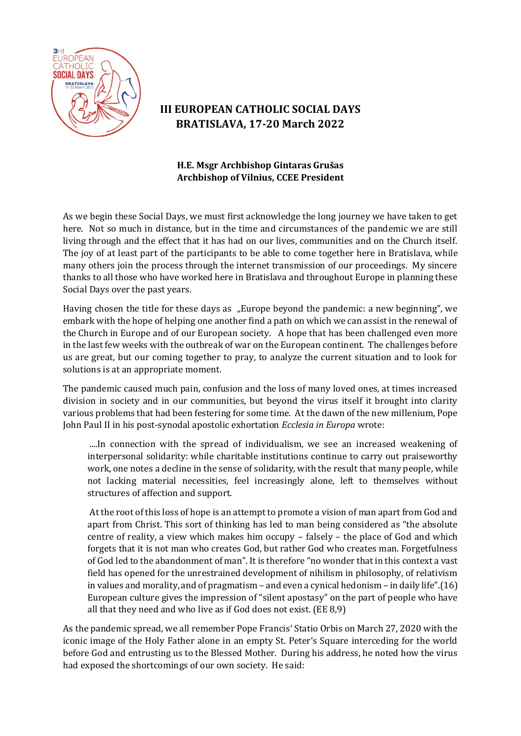

## **III EUROPEAN CATHOLIC SOCIAL DAYS BRATISLAVA, 17-20 March 2022**

## **H.E. Msgr Archbishop Gintaras Grušas Archbishop of Vilnius, CCEE President**

As we begin these Social Days, we must first acknowledge the long journey we have taken to get here. Not so much in distance, but in the time and circumstances of the pandemic we are still living through and the effect that it has had on our lives, communities and on the Church itself. The joy of at least part of the participants to be able to come together here in Bratislava, while many others join the process through the internet transmission of our proceedings. My sincere thanks to all those who have worked here in Bratislava and throughout Europe in planning these Social Days over the past years.

Having chosen the title for these days as "Europe beyond the pandemic: a new beginning", we embark with the hope of helping one another find a path on which we can assist in the renewal of the Church in Europe and of our European society. A hope that has been challenged even more in the last few weeks with the outbreak of war on the European continent. The challenges before us are great, but our coming together to pray, to analyze the current situation and to look for solutions is at an appropriate moment.

The pandemic caused much pain, confusion and the loss of many loved ones, at times increased division in society and in our communities, but beyond the virus itself it brought into clarity various problems that had been festering for some time. At the dawn of the new millenium, Pope John Paul II in his post-synodal apostolic exhortation *Ecclesia in Europa* wrote:

....In connection with the spread of individualism, we see an increased weakening of interpersonal solidarity: while charitable institutions continue to carry out praiseworthy work, one notes a decline in the sense of solidarity, with the result that many people, while not lacking material necessities, feel increasingly alone, left to themselves without structures of affection and support.

At the root of this loss of hope is an attempt to promote a vision of man apart from God and apart from Christ. This sort of thinking has led to man being considered as "the absolute centre of reality, a view which makes him occupy – falsely – the place of God and which forgets that it is not man who creates God, but rather God who creates man. Forgetfulness of God led to the abandonment of man". It is therefore "no wonder that in this context a vast field has opened for the unrestrained development of nihilism in philosophy, of relativism in values and morality, and of pragmatism – and even a cynical hedonism – in daily life".(16) European culture gives the impression of "silent apostasy" on the part of people who have all that they need and who live as if God does not exist. (EE 8,9)

As the pandemic spread, we all remember Pope Francis' Statio Orbis on March 27, 2020 with the iconic image of the Holy Father alone in an empty St. Peter's Square interceding for the world before God and entrusting us to the Blessed Mother. During his address, he noted how the virus had exposed the shortcomings of our own society. He said: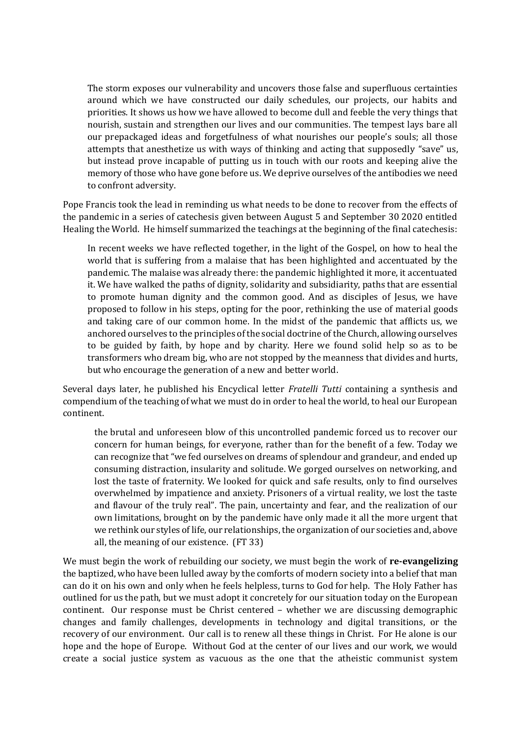The storm exposes our vulnerability and uncovers those false and superfluous certainties around which we have constructed our daily schedules, our projects, our habits and priorities. It shows us how we have allowed to become dull and feeble the very things that nourish, sustain and strengthen our lives and our communities. The tempest lays bare all our prepackaged ideas and forgetfulness of what nourishes our people's souls; all those attempts that anesthetize us with ways of thinking and acting that supposedly "save" us, but instead prove incapable of putting us in touch with our roots and keeping alive the memory of those who have gone before us. We deprive ourselves of the antibodies we need to confront adversity.

Pope Francis took the lead in reminding us what needs to be done to recover from the effects of the pandemic in a series of catechesis given between August 5 and September 30 2020 entitled Healing the World. He himself summarized the teachings at the beginning of the final catechesis:

In recent weeks we have reflected together, in the light of the Gospel, on how to heal the world that is suffering from a malaise that has been highlighted and accentuated by the pandemic. The malaise was already there: the pandemic highlighted it more, it accentuated it. We have walked the paths of dignity, solidarity and subsidiarity, paths that are essential to promote human dignity and the common good. And as disciples of Jesus, we have proposed to follow in his steps, opting for the poor, rethinking the use of material goods and taking care of our common home. In the midst of the pandemic that afflicts us, we anchored ourselves to the principles of the social doctrine of the Church, allowing ourselves to be guided by faith, by hope and by charity. Here we found solid help so as to be transformers who dream big, who are not stopped by the meanness that divides and hurts, but who encourage the generation of a new and better world.

Several days later, he published his Encyclical letter *Fratelli Tutti* containing a synthesis and compendium of the teaching of what we must do in order to heal the world, to heal our European continent.

the brutal and unforeseen blow of this uncontrolled pandemic forced us to recover our concern for human beings, for everyone, rather than for the benefit of a few. Today we can recognize that "we fed ourselves on dreams of splendour and grandeur, and ended up consuming distraction, insularity and solitude. We gorged ourselves on networking, and lost the taste of fraternity. We looked for quick and safe results, only to find ourselves overwhelmed by impatience and anxiety. Prisoners of a virtual reality, we lost the taste and flavour of the truly real". The pain, uncertainty and fear, and the realization of our own limitations, brought on by the pandemic have only made it all the more urgent that we rethink our styles of life, our relationships, the organization of our societies and, above all, the meaning of our existence. (FT 33)

We must begin the work of rebuilding our society, we must begin the work of **re-evangelizing** the baptized, who have been lulled away by the comforts of modern society into a belief that man can do it on his own and only when he feels helpless, turns to God for help. The Holy Father has outlined for us the path, but we must adopt it concretely for our situation today on the European continent. Our response must be Christ centered – whether we are discussing demographic changes and family challenges, developments in technology and digital transitions, or the recovery of our environment. Our call is to renew all these things in Christ. For He alone is our hope and the hope of Europe. Without God at the center of our lives and our work, we would create a social justice system as vacuous as the one that the atheistic communist system